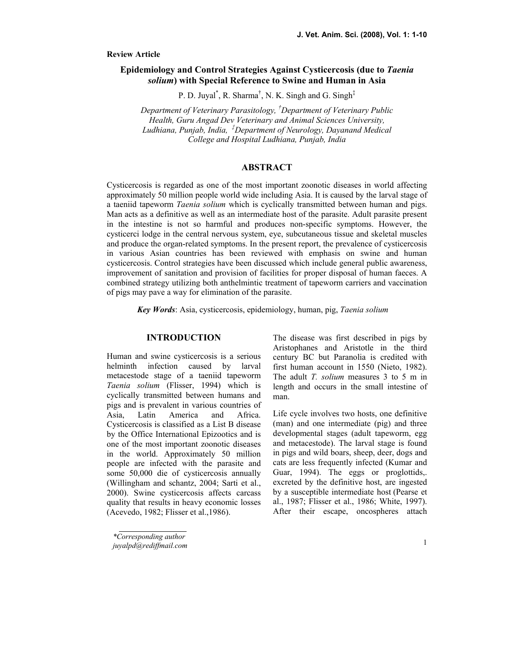## Review Article

# Epidemiology and Control Strategies Against Cysticercosis (due to Taenia solium) with Special Reference to Swine and Human in Asia

P. D. Juyal<sup>\*</sup>, R. Sharma<sup>†</sup>, N. K. Singh and G. Singh<sup>‡</sup>

Department of Veterinary Parasitology, <sup>†</sup>Department of Veterinary Public Health, Guru Angad Dev Veterinary and Animal Sciences University, Ludhiana, Punjab, India,  $^{\ddagger}$ Department of Neurology, Dayanand Medical College and Hospital Ludhiana, Punjab, India

# ABSTRACT

Cysticercosis is regarded as one of the most important zoonotic diseases in world affecting approximately 50 million people world wide including Asia. It is caused by the larval stage of a taeniid tapeworm *Taenia solium* which is cyclically transmitted between human and pigs. Man acts as a definitive as well as an intermediate host of the parasite. Adult parasite present in the intestine is not so harmful and produces non-specific symptoms. However, the cysticerci lodge in the central nervous system, eye, subcutaneous tissue and skeletal muscles and produce the organ-related symptoms. In the present report, the prevalence of cysticercosis in various Asian countries has been reviewed with emphasis on swine and human cysticercosis. Control strategies have been discussed which include general public awareness, improvement of sanitation and provision of facilities for proper disposal of human faeces. A combined strategy utilizing both anthelmintic treatment of tapeworm carriers and vaccination of pigs may pave a way for elimination of the parasite.

Key Words: Asia, cysticercosis, epidemiology, human, pig, Taenia solium

## **INTRODUCTION**

Human and swine cysticercosis is a serious helminth infection caused by larval metacestode stage of a taeniid tapeworm Taenia solium (Flisser, 1994) which is cyclically transmitted between humans and pigs and is prevalent in various countries of Asia, Latin America and Africa. Cysticercosis is classified as a List B disease by the Office International Epizootics and is one of the most important zoonotic diseases in the world. Approximately 50 million people are infected with the parasite and some 50,000 die of cysticercosis annually (Willingham and schantz, 2004; Sarti et al., 2000). Swine cysticercosis affects carcass quality that results in heavy economic losses (Acevedo, 1982; Flisser et al.,1986).

\*Corresponding author juyalpd@rediffmail.com The disease was first described in pigs by Aristophanes and Aristotle in the third century BC but Paranolia is credited with first human account in 1550 (Nieto, 1982). The adult T. solium measures 3 to 5 m in length and occurs in the small intestine of man.

Life cycle involves two hosts, one definitive (man) and one intermediate (pig) and three developmental stages (adult tapeworm, egg and metacestode). The larval stage is found in pigs and wild boars, sheep, deer, dogs and cats are less frequently infected (Kumar and Guar, 1994). The eggs or proglottids,. excreted by the definitive host, are ingested by a susceptible intermediate host (Pearse et al., 1987; Flisser et al., 1986; White, 1997). After their escape, oncospheres attach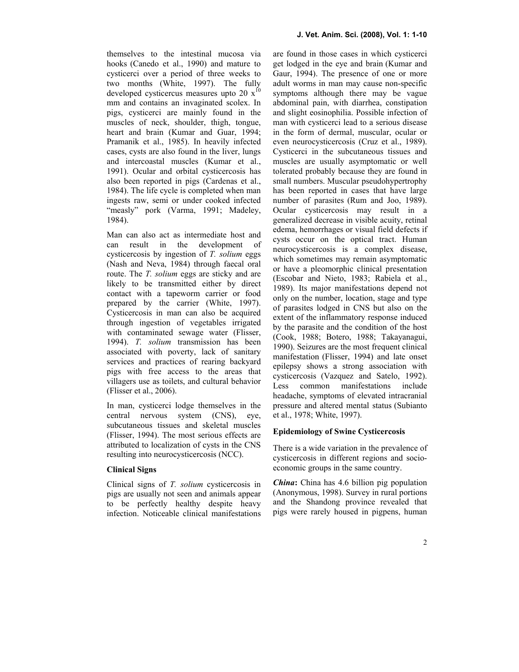themselves to the intestinal mucosa via hooks (Canedo et al., 1990) and mature to cysticerci over a period of three weeks to two months (White, 1997). The fully developed cysticercus measures upto 20  $x^{10}$ mm and contains an invaginated scolex. In pigs, cysticerci are mainly found in the muscles of neck, shoulder, thigh, tongue, heart and brain (Kumar and Guar, 1994; Pramanik et al., 1985). In heavily infected cases, cysts are also found in the liver, lungs and intercoastal muscles (Kumar et al., 1991). Ocular and orbital cysticercosis has also been reported in pigs (Cardenas et al., 1984). The life cycle is completed when man ingests raw, semi or under cooked infected "measly" pork (Varma, 1991; Madeley, 1984).

Man can also act as intermediate host and can result in the development of cysticercosis by ingestion of T. solium eggs (Nash and Neva, 1984) through faecal oral route. The *T. solium* eggs are sticky and are likely to be transmitted either by direct contact with a tapeworm carrier or food prepared by the carrier (White, 1997). Cysticercosis in man can also be acquired through ingestion of vegetables irrigated with contaminated sewage water (Flisser, 1994). T. solium transmission has been associated with poverty, lack of sanitary services and practices of rearing backyard pigs with free access to the areas that villagers use as toilets, and cultural behavior (Flisser et al., 2006).

In man, cysticerci lodge themselves in the central nervous system (CNS), eye, subcutaneous tissues and skeletal muscles (Flisser, 1994). The most serious effects are attributed to localization of cysts in the CNS resulting into neurocysticercosis (NCC).

#### Clinical Signs

Clinical signs of T. solium cysticercosis in pigs are usually not seen and animals appear to be perfectly healthy despite heavy infection. Noticeable clinical manifestations

are found in those cases in which cysticerci get lodged in the eye and brain (Kumar and Gaur, 1994). The presence of one or more adult worms in man may cause non-specific symptoms although there may be vague abdominal pain, with diarrhea, constipation and slight eosinophilia. Possible infection of man with cysticerci lead to a serious disease in the form of dermal, muscular, ocular or even neurocysticercosis (Cruz et al., 1989). Cysticerci in the subcutaneous tissues and muscles are usually asymptomatic or well tolerated probably because they are found in small numbers. Muscular pseudohypertrophy has been reported in cases that have large number of parasites (Rum and Joo, 1989). Ocular cysticercosis may result in a generalized decrease in visible acuity, retinal edema, hemorrhages or visual field defects if cysts occur on the optical tract. Human neurocysticercosis is a complex disease, which sometimes may remain asymptomatic or have a pleomorphic clinical presentation (Escobar and Nieto, 1983; Rabiela et al., 1989). Its major manifestations depend not only on the number, location, stage and type of parasites lodged in CNS but also on the extent of the inflammatory response induced by the parasite and the condition of the host (Cook, 1988; Botero, 1988; Takayanagui, 1990). Seizures are the most frequent clinical manifestation (Flisser, 1994) and late onset epilepsy shows a strong association with cysticercosis (Vazquez and Satelo, 1992). Less common manifestations include headache, symptoms of elevated intracranial pressure and altered mental status (Subianto et al., 1978; White, 1997).

## Epidemiology of Swine Cysticercosis

There is a wide variation in the prevalence of cysticercosis in different regions and socioeconomic groups in the same country.

*China*: China has 4.6 billion pig population (Anonymous, 1998). Survey in rural portions and the Shandong province revealed that pigs were rarely housed in pigpens, human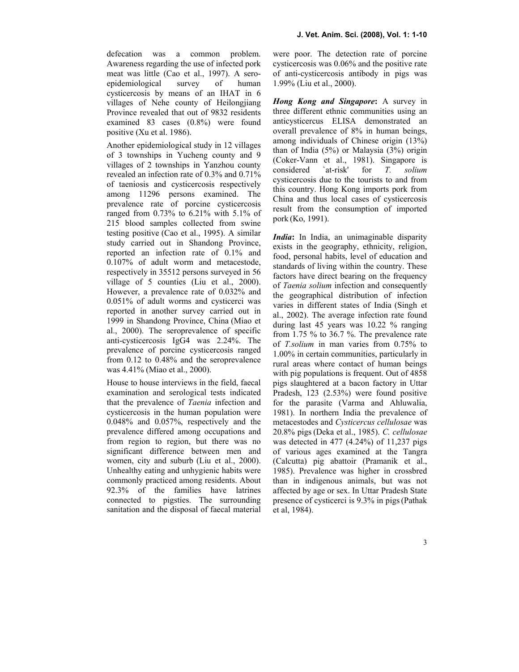defecation was a common problem. Awareness regarding the use of infected pork meat was little (Cao et al., 1997). A seroepidemiological survey of human cysticercosis by means of an IHAT in 6 villages of Nehe county of Heilongjiang Province revealed that out of 9832 residents examined 83 cases (0.8%) were found positive (Xu et al. 1986).

Another epidemiological study in 12 villages of 3 townships in Yucheng county and 9 villages of 2 townships in Yanzhou county revealed an infection rate of 0.3% and 0.71% of taeniosis and cysticercosis respectively among 11296 persons examined. The prevalence rate of porcine cysticercosis ranged from 0.73% to 6.21% with 5.1% of 215 blood samples collected from swine testing positive (Cao et al., 1995). A similar study carried out in Shandong Province, reported an infection rate of 0.1% and 0.107% of adult worm and metacestode, respectively in 35512 persons surveyed in 56 village of 5 counties (Liu et al., 2000). However, a prevalence rate of 0.032% and 0.051% of adult worms and cysticerci was reported in another survey carried out in 1999 in Shandong Province, China (Miao et al., 2000). The seroprevalence of specific anti-cysticercosis IgG4 was 2.24%. The prevalence of porcine cysticercosis ranged from 0.12 to 0.48% and the seroprevalence was 4.41% (Miao et al., 2000).

House to house interviews in the field, faecal examination and serological tests indicated that the prevalence of Taenia infection and cysticercosis in the human population were 0.048% and 0.057%, respectively and the prevalence differed among occupations and from region to region, but there was no significant difference between men and women, city and suburb (Liu et al., 2000). Unhealthy eating and unhygienic habits were commonly practiced among residents. About 92.3% of the families have latrines connected to pigsties. The surrounding sanitation and the disposal of faecal material

were poor. The detection rate of porcine cysticercosis was 0.06% and the positive rate of anti-cysticercosis antibody in pigs was 1.99% (Liu et al., 2000).

Hong Kong and Singapore: A survey in three different ethnic communities using an anticysticercus ELISA demonstrated an overall prevalence of 8% in human beings, among individuals of Chinese origin (13%) than of India (5%) or Malaysia (3%) origin (Coker-Vann et al., 1981). Singapore is considered `at-risk' for *T. solium* considered `at-risk' for T. solium cysticercosis due to the tourists to and from this country. Hong Kong imports pork from China and thus local cases of cysticercosis result from the consumption of imported pork (Ko, 1991).

India: In India, an unimaginable disparity exists in the geography, ethnicity, religion, food, personal habits, level of education and standards of living within the country. These factors have direct bearing on the frequency of Taenia solium infection and consequently the geographical distribution of infection varies in different states of India (Singh et al., 2002). The average infection rate found during last 45 years was 10.22 % ranging from 1.75 % to 36.7 %. The prevalence rate of T.solium in man varies from 0.75% to 1.00% in certain communities, particularly in rural areas where contact of human beings with pig populations is frequent. Out of 4858 pigs slaughtered at a bacon factory in Uttar Pradesh, 123 (2.53%) were found positive for the parasite (Varma and Ahluwalia, 1981). In northern India the prevalence of metacestodes and Cysticercus cellulosae was 20.8% pigs (Deka et al., 1985). C. cellulosae was detected in 477 (4.24%) of 11,237 pigs of various ages examined at the Tangra (Calcutta) pig abattoir (Pramanik et al., 1985). Prevalence was higher in crossbred than in indigenous animals, but was not affected by age or sex. In Uttar Pradesh State presence of cysticerci is 9.3% in pigs(Pathak et al, 1984).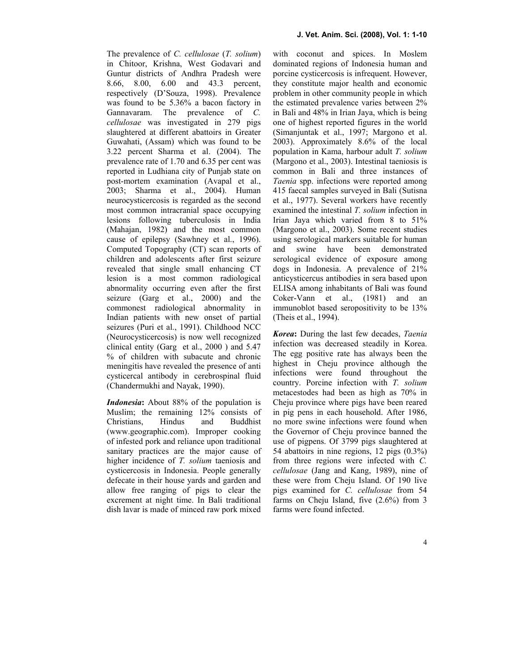The prevalence of C. cellulosae (T. solium) in Chitoor, Krishna, West Godavari and Guntur districts of Andhra Pradesh were 8.66, 8.00, 6.00 and 43.3 percent, respectively (D'Souza, 1998). Prevalence was found to be 5.36% a bacon factory in Gannavaram. The prevalence of C. cellulosae was investigated in 279 pigs slaughtered at different abattoirs in Greater Guwahati, (Assam) which was found to be 3.22 percent Sharma et al. (2004). The prevalence rate of 1.70 and 6.35 per cent was reported in Ludhiana city of Punjab state on post-mortem examination (Avapal et al., 2003; Sharma et al., 2004). Human neurocysticercosis is regarded as the second most common intracranial space occupying lesions following tuberculosis in India (Mahajan, 1982) and the most common cause of epilepsy (Sawhney et al., 1996). Computed Topography (CT) scan reports of children and adolescents after first seizure revealed that single small enhancing CT lesion is a most common radiological abnormality occurring even after the first seizure (Garg et al., 2000) and the commonest radiological abnormality in Indian patients with new onset of partial seizures (Puri et al., 1991). Childhood NCC (Neurocysticercosis) is now well recognized clinical entity (Garg et al., 2000 ) and 5.47 % of children with subacute and chronic meningitis have revealed the presence of anti cysticercal antibody in cerebrospinal fluid (Chandermukhi and Nayak, 1990).

Indonesia: About 88% of the population is Muslim; the remaining 12% consists of Christians, Hindus and Buddhist (www.geographic.com). Improper cooking of infested pork and reliance upon traditional sanitary practices are the major cause of higher incidence of T. solium taeniosis and cysticercosis in Indonesia. People generally defecate in their house yards and garden and allow free ranging of pigs to clear the excrement at night time. In Bali traditional dish lavar is made of minced raw pork mixed

with coconut and spices. In Moslem dominated regions of Indonesia human and porcine cysticercosis is infrequent. However, they constitute major health and economic problem in other community people in which the estimated prevalence varies between 2% in Bali and 48% in Irian Jaya, which is being one of highest reported figures in the world (Simanjuntak et al., 1997; Margono et al. 2003). Approximately 8.6% of the local population in Kama, harbour adult T. solium (Margono et al., 2003). Intestinal taeniosis is common in Bali and three instances of Taenia spp. infections were reported among 415 faecal samples surveyed in Bali (Sutisna et al., 1977). Several workers have recently examined the intestinal T. solium infection in Irian Jaya which varied from 8 to 51% (Margono et al., 2003). Some recent studies using serological markers suitable for human and swine have been demonstrated serological evidence of exposure among dogs in Indonesia. A prevalence of 21% anticysticercus antibodies in sera based upon ELISA among inhabitants of Bali was found Coker-Vann et al., (1981) and an immunoblot based seropositivity to be 13% (Theis et al., 1994).

Korea: During the last few decades, Taenia infection was decreased steadily in Korea. The egg positive rate has always been the highest in Cheju province although the infections were found throughout the country. Porcine infection with T. solium metacestodes had been as high as 70% in Cheju province where pigs have been reared in pig pens in each household. After 1986, no more swine infections were found when the Governor of Cheju province banned the use of pigpens. Of 3799 pigs slaughtered at 54 abattoirs in nine regions, 12 pigs (0.3%) from three regions were infected with C. cellulosae (Jang and Kang, 1989), nine of these were from Cheju Island. Of 190 live pigs examined for C. cellulosae from 54 farms on Cheju Island, five (2.6%) from 3 farms were found infected.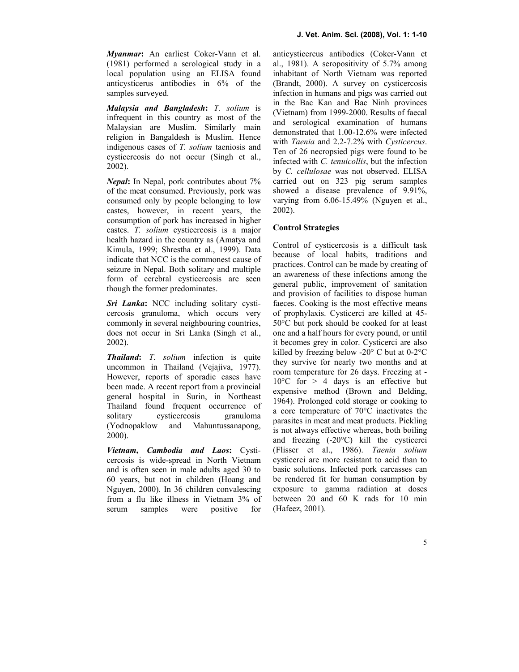Myanmar: An earliest Coker-Vann et al. (1981) performed a serological study in a local population using an ELISA found anticysticerus antibodies in 6% of the samples surveyed.

Malaysia and Bangladesh: T. solium is infrequent in this country as most of the Malaysian are Muslim. Similarly main religion in Bangaldesh is Muslim. Hence indigenous cases of T. solium taeniosis and cysticercosis do not occur (Singh et al., 2002).

Nepal: In Nepal, pork contributes about 7% of the meat consumed. Previously, pork was consumed only by people belonging to low castes, however, in recent years, the consumption of pork has increased in higher castes. T. solium cysticercosis is a major health hazard in the country as (Amatya and Kimula, 1999; Shrestha et al., 1999). Data indicate that NCC is the commonest cause of seizure in Nepal. Both solitary and multiple form of cerebral cysticercosis are seen though the former predominates.

Sri Lanka: NCC including solitary cysticercosis granuloma, which occurs very commonly in several neighbouring countries, does not occur in Sri Lanka (Singh et al., 2002).

Thailand: T. solium infection is quite uncommon in Thailand (Vejajiva, 1977). However, reports of sporadic cases have been made. A recent report from a provincial general hospital in Surin, in Northeast Thailand found frequent occurrence of solitary cysticercosis granuloma<br>(Yodnopaklow and Mahuntussanapong, and Mahuntussanapong, 2000).

Vietnam, Cambodia and Laos: Cysticercosis is wide-spread in North Vietnam and is often seen in male adults aged 30 to 60 years, but not in children (Hoang and Nguyen, 2000). In 36 children convalescing from a flu like illness in Vietnam 3% of serum samples were positive for

anticysticercus antibodies (Coker-Vann et al., 1981). A seropositivity of 5.7% among inhabitant of North Vietnam was reported (Brandt, 2000). A survey on cysticercosis infection in humans and pigs was carried out in the Bac Kan and Bac Ninh provinces (Vietnam) from 1999-2000. Results of faecal and serological examination of humans demonstrated that 1.00-12.6% were infected with Taenia and 2.2-7.2% with Cysticercus. Ten of 26 necropsied pigs were found to be infected with C. tenuicollis, but the infection by C. cellulosae was not observed. ELISA carried out on 323 pig serum samples showed a disease prevalence of 9.91%, varying from 6.06-15.49% (Nguyen et al., 2002).

## Control Strategies

Control of cysticercosis is a difficult task because of local habits, traditions and practices. Control can be made by creating of an awareness of these infections among the general public, improvement of sanitation and provision of facilities to dispose human faeces. Cooking is the most effective means of prophylaxis. Cysticerci are killed at 45- 50°C but pork should be cooked for at least one and a half hours for every pound, or until it becomes grey in color. Cysticerci are also killed by freezing below -20° C but at 0-2°C they survive for nearly two months and at room temperature for 26 days. Freezing at -  $10^{\circ}$ C for  $> 4$  days is an effective but expensive method (Brown and Belding, 1964). Prolonged cold storage or cooking to a core temperature of 70°C inactivates the parasites in meat and meat products. Pickling is not always effective whereas, both boiling and freezing (-20°C) kill the cysticerci (Flisser et al., 1986). Taenia solium cysticerci are more resistant to acid than to basic solutions. Infected pork carcasses can be rendered fit for human consumption by exposure to gamma radiation at doses between 20 and 60 K rads for 10 min (Hafeez, 2001).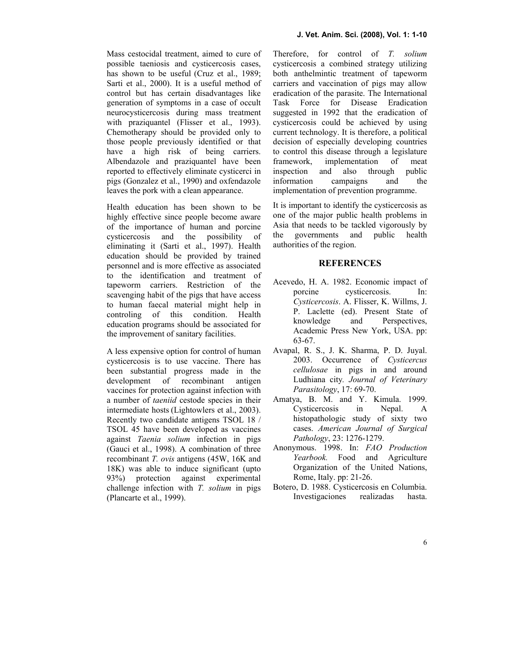Mass cestocidal treatment, aimed to cure of possible taeniosis and cysticercosis cases, has shown to be useful (Cruz et al., 1989; Sarti et al., 2000). It is a useful method of control but has certain disadvantages like generation of symptoms in a case of occult neurocysticercosis during mass treatment with praziquantel (Flisser et al., 1993). Chemotherapy should be provided only to those people previously identified or that have a high risk of being carriers. Albendazole and praziquantel have been reported to effectively eliminate cysticerci in pigs (Gonzalez et al., 1990) and oxfendazole leaves the pork with a clean appearance.

Health education has been shown to be highly effective since people become aware of the importance of human and porcine cysticercosis and the possibility of eliminating it (Sarti et al., 1997). Health education should be provided by trained personnel and is more effective as associated to the identification and treatment of tapeworm carriers. Restriction of the scavenging habit of the pigs that have access to human faecal material might help in controling of this condition. Health education programs should be associated for the improvement of sanitary facilities.

A less expensive option for control of human cysticercosis is to use vaccine. There has been substantial progress made in the development of recombinant antigen vaccines for protection against infection with a number of taeniid cestode species in their intermediate hosts (Lightowlers et al., 2003). Recently two candidate antigens TSOL 18 / TSOL 45 have been developed as vaccines against Taenia solium infection in pigs (Gauci et al., 1998). A combination of three recombinant T. ovis antigens (45W, 16K and 18K) was able to induce significant (upto 93%) protection against experimental challenge infection with  $T$ . solium in pigs (Plancarte et al., 1999).

Therefore, for control of T. solium cysticercosis a combined strategy utilizing both anthelmintic treatment of tapeworm carriers and vaccination of pigs may allow eradication of the parasite. The International Task Force for Disease Eradication suggested in 1992 that the eradication of cysticercosis could be achieved by using current technology. It is therefore, a political decision of especially developing countries to control this disease through a legislature framework, implementation of meat inspection and also through public information campaigns and the implementation of prevention programme.

It is important to identify the cysticercosis as one of the major public health problems in Asia that needs to be tackled vigorously by the governments and public health authorities of the region.

## **REFERENCES**

- Acevedo, H. A. 1982. Economic impact of porcine cysticercosis. In: Cysticercosis. A. Flisser, K. Willms, J. P. Laclette (ed). Present State of knowledge and Perspectives, Academic Press New York, USA. pp: 63-67.
- Avapal, R. S., J. K. Sharma, P. D. Juyal. 2003. Occurrence of Cysticercus cellulosae in pigs in and around Ludhiana city. Journal of Veterinary Parasitology, 17: 69-70.
- Amatya, B. M. and Y. Kimula. 1999. Cysticercosis in Nepal. A histopathologic study of sixty two cases. American Journal of Surgical Pathology, 23: 1276-1279.
- Anonymous. 1998. In: FAO Production Yearbook. Food and Agriculture Organization of the United Nations, Rome, Italy. pp: 21-26.
- Botero, D. 1988. Cysticercosis en Columbia. Investigaciones realizadas hasta.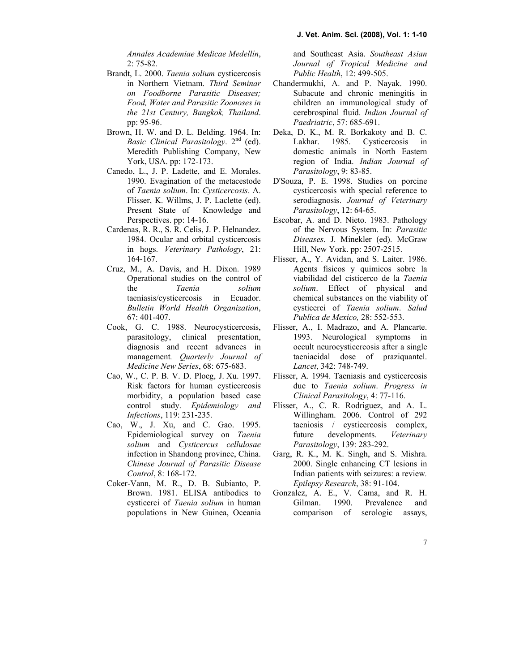Annales Academiae Medicae Medellín, 2: 75-82.

- Brandt, L. 2000. Taenia solium cysticercosis in Northern Vietnam. Third Seminar on Foodborne Parasitic Diseases; Food, Water and Parasitic Zoonoses in the 21st Century, Bangkok, Thailand. pp: 95-96.
- Brown, H. W. and D. L. Belding. 1964. In: Basic Clinical Parasitology.  $2<sup>nd</sup>$  (ed). Meredith Publishing Company, New York, USA. pp: 172-173.
- Canedo, L., J. P. Ladette, and E. Morales. 1990. Evagination of the metacestode of Taenia solium. In: Cysticercosis. A. Flisser, K. Willms, J. P. Laclette (ed). Present State of Knowledge and Perspectives. pp: 14-16.
- Cardenas, R. R., S. R. Celis, J. P. Helnandez. 1984. Ocular and orbital cysticercosis in hogs. Veterinary Pathology, 21: 164-167.
- Cruz, M., A. Davis, and H. Dixon. 1989 Operational studies on the control of the Taenia solium taeniasis/cysticercosis in Ecuador. Bulletin World Health Organization, 67: 401-407.
- Cook, G. C. 1988. Neurocysticercosis, parasitology, clinical presentation, diagnosis and recent advances in management. Quarterly Journal of Medicine New Series, 68: 675-683.
- Cao, W., C. P. B. V. D. Ploeg, J. Xu. 1997. Risk factors for human cysticercosis morbidity, a population based case control study. Epidemiology and Infections, 119: 231-235.
- Cao, W., J. Xu, and C. Gao. 1995. Epidemiological survey on Taenia solium and Cysticercus cellulosae infection in Shandong province, China. Chinese Journal of Parasitic Disease Control, 8: 168-172.
- Coker-Vann, M. R., D. B. Subianto, P. Brown. 1981. ELISA antibodies to cysticerci of Taenia solium in human populations in New Guinea, Oceania

and Southeast Asia. Southeast Asian Journal of Tropical Medicine and Public Health, 12: 499-505.

- Chandermukhi, A. and P. Nayak. 1990. Subacute and chronic meningitis in children an immunological study of cerebrospinal fluid. Indian Journal of Paedriatric, 57: 685-691.
- Deka, D. K., M. R. Borkakoty and B. C. Lakhar. 1985. Cysticercosis in domestic animals in North Eastern region of India. Indian Journal of Parasitology, 9: 83-85.
- D'Souza, P. E. 1998. Studies on porcine cysticercosis with special reference to serodiagnosis. Journal of Veterinary Parasitology, 12: 64-65.
- Escobar, A. and D. Nieto. 1983. Pathology of the Nervous System. In: Parasitic Diseases. J. Minekler (ed). McGraw Hill, New York. pp: 2507-2515.
- Flisser, A., Y. Avidan, and S. Laiter. 1986. Agents fisicos y quimicos sobre la viabilidad del cisticerco de la Taenia solium. Effect of physical and chemical substances on the viability of cysticerci of Taenia solium. Salud Publica de Mexico, 28: 552-553.
- Flisser, A., I. Madrazo, and A. Plancarte. 1993. Neurological symptoms in occult neurocysticercosis after a single taeniacidal dose of praziquantel. Lancet, 342: 748-749.
- Flisser, A. 1994. Taeniasis and cysticercosis due to Taenia solium. Progress in Clinical Parasitology, 4: 77-116.
- Flisser, A., C. R. Rodriguez, and A. L. Willingham. 2006. Control of 292 taeniosis / cysticercosis complex, future developments. Veterinary Parasitology, 139: 283-292.
- Garg, R. K., M. K. Singh, and S. Mishra. 2000. Single enhancing CT lesions in Indian patients with seizures: a review. Epilepsy Research, 38: 91-104.
- Gonzalez, A. E., V. Cama, and R. H. Gilman. 1990. Prevalence and comparison of serologic assays,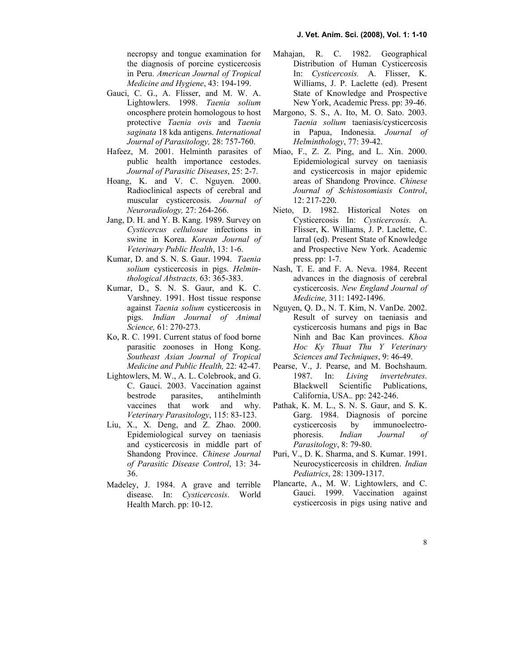necropsy and tongue examination for the diagnosis of porcine cysticercosis in Peru. American Journal of Tropical Medicine and Hygiene, 43: 194-199.

- Gauci, C. G., A. Flisser, and M. W. A. Lightowlers. 1998. Taenia solium oncosphere protein homologous to host protective Taenia ovis and Taenia saginata 18 kda antigens. International Journal of Parasitology, 28: 757-760.
- Hafeez, M. 2001. Helminth parasites of public health importance cestodes. Journal of Parasitic Diseases, 25: 2-7.
- Hoang, K. and V. C. Nguyen. 2000. Radioclinical aspects of cerebral and muscular cysticercosis. Journal of Neuroradiology, 27: 264-266.
- Jang, D. H. and Y. B. Kang. 1989. Survey on Cysticercus cellulosae infections in swine in Korea. Korean Journal of Veterinary Public Health, 13: 1-6.
- Kumar, D. and S. N. S. Gaur. 1994. Taenia solium cysticercosis in pigs. Helminthological Abstracts, 63: 365-383.
- Kumar, D., S. N. S. Gaur, and K. C. Varshney. 1991. Host tissue response against Taenia solium cysticercosis in pigs. Indian Journal of Animal Science, 61: 270-273.
- Ko, R. C. 1991. Current status of food borne parasitic zoonoses in Hong Kong. Southeast Asian Journal of Tropical Medicine and Public Health, 22: 42-47.
- Lightowlers, M. W., A. L. Colebrook, and G. C. Gauci. 2003. Vaccination against bestrode parasites, antihelminth vaccines that work and why. Veterinary Parasitology, 115: 83-123.
- Liu, X., X. Deng, and Z. Zhao. 2000. Epidemiological survey on taeniasis and cysticercosis in middle part of Shandong Province. Chinese Journal of Parasitic Disease Control, 13: 34- 36.
- Madeley, J. 1984. A grave and terrible disease. In: Cysticercosis. World Health March. pp: 10-12.
- Mahajan, R. C. 1982. Geographical Distribution of Human Cysticercosis In: Cysticercosis. A. Flisser, K. Williams, J. P. Laclette (ed). Present State of Knowledge and Prospective New York, Academic Press. pp: 39-46.
- Margono, S. S., A. Ito, M. O. Sato. 2003. Taenia solium taeniasis/cysticercosis in Papua, Indonesia. Journal of Helminthology, 77: 39-42.
- Miao, F., Z. Z. Ping, and L. Xin. 2000. Epidemiological survey on taeniasis and cysticercosis in major epidemic areas of Shandong Province. Chinese Journal of Schistosomiasis Control, 12: 217-220.
- Nieto, D. 1982. Historical Notes on Cysticercosis In: Cysticercosis. A. Flisser, K. Williams, J. P. Laclette, C. larral (ed). Present State of Knowledge and Prospective New York. Academic press. pp: 1-7.
- Nash, T. E. and F. A. Neva. 1984. Recent advances in the diagnosis of cerebral cysticercosis. New England Journal of Medicine, 311: 1492-1496.
- Nguyen, Q. D., N. T. Kim, N. VanDe. 2002. Result of survey on taeniasis and cysticercosis humans and pigs in Bac Ninh and Bac Kan provinces. Khoa Hoc Ky Thuat Thu Y Veterinary Sciences and Techniques, 9: 46-49.
- Pearse, V., J. Pearse, and M. Bochshaum. 1987. In: Living invertebrates. Blackwell Scientific Publications, California, USA.. pp: 242-246.
- Pathak, K. M. L., S. N. S. Gaur, and S. K. Garg. 1984. Diagnosis of porcine cysticercosis by immunoelectrophoresis. Indian Journal of Parasitology, 8: 79-80.
- Puri, V., D. K. Sharma, and S. Kumar. 1991. Neurocysticercosis in children. Indian Pediatrics, 28: 1309-1317.
- Plancarte, A., M. W. Lightowlers, and C. Gauci. 1999. Vaccination against cysticercosis in pigs using native and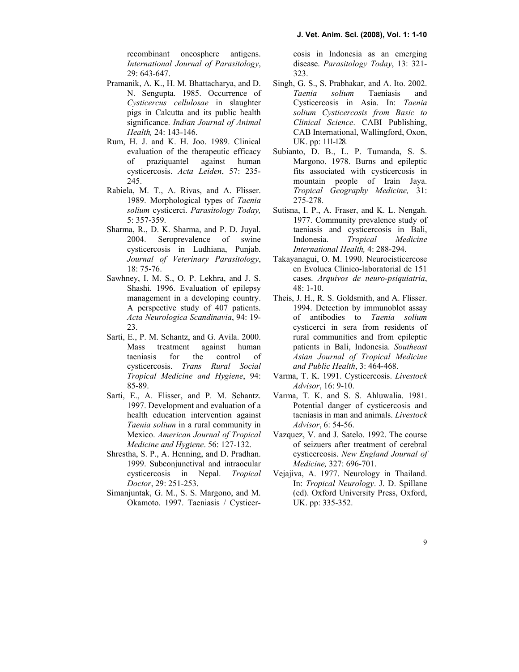recombinant oncosphere antigens. International Journal of Parasitology, 29: 643-647.

- Pramanik, A. K., H. M. Bhattacharya, and D. N. Sengupta. 1985. Occurrence of Cysticercus cellulosae in slaughter pigs in Calcutta and its public health significance. Indian Journal of Animal Health, 24: 143-146.
- Rum, H. J. and K. H. Joo. 1989. Clinical evaluation of the therapeutic efficacy of praziquantel against human cysticercosis. Acta Leiden, 57: 235- 245.
- Rabiela, M. T., A. Rivas, and A. Flisser. 1989. Morphological types of Taenia solium cysticerci. Parasitology Today, 5: 357-359.
- Sharma, R., D. K. Sharma, and P. D. Juyal. 2004. Seroprevalence of swine cysticercosis in Ludhiana, Punjab. Journal of Veterinary Parasitology, 18: 75-76.
- Sawhney, I. M. S., O. P. Lekhra, and J. S. Shashi. 1996. Evaluation of epilepsy management in a developing country. A perspective study of 407 patients. Acta Neurologica Scandinavia, 94: 19-23.
- Sarti, E., P. M. Schantz, and G. Avila. 2000. Mass treatment against human taeniasis for the control of cysticercosis. Trans Rural Social Tropical Medicine and Hygiene, 94: 85-89.
- Sarti, E., A. Flisser, and P. M. Schantz. 1997. Development and evaluation of a health education intervention against Taenia solium in a rural community in Mexico. American Journal of Tropical Medicine and Hygiene. 56: 127-132.
- Shrestha, S. P., A. Henning, and D. Pradhan. 1999. Subconjunctival and intraocular cysticercosis in Nepal. Tropical Doctor, 29: 251-253.
- Simanjuntak, G. M., S. S. Margono, and M. Okamoto. 1997. Taeniasis / Cysticer-

 cosis in Indonesia as an emerging disease. Parasitology Today, 13: 321-323.

- Singh, G. S., S. Prabhakar, and A. Ito. 2002. Taenia solium Taeniasis and Cysticercosis in Asia. In: Taenia solium Cysticercosis from Basic to Clinical Science. CABI Publishing, CAB International, Wallingford, Oxon, UK. pp: 111-128.
- Subianto, D. B., L. P. Tumanda, S. S. Margono. 1978. Burns and epileptic fits associated with cysticercosis in mountain people of Irain Jaya. Tropical Geography Medicine, 31: 275-278.
- Sutisna, I. P., A. Fraser, and K. L. Nengah. 1977. Community prevalence study of taeniasis and cysticercosis in Bali, Indonesia. Tropical Medicine International Health, 4: 288-294.
- Takayanagui, O. M. 1990. Neurocisticercose en Evoluca Clinico-laboratorial de 151 cases. Arquivos de neuro-psiquiatria, 48: 1-10.
- Theis, J. H., R. S. Goldsmith, and A. Flisser. 1994. Detection by immunoblot assay of antibodies to Taenia solium cysticerci in sera from residents of rural communities and from epileptic patients in Bali, Indonesia. Southeast Asian Journal of Tropical Medicine and Public Health, 3: 464-468.
- Varma, T. K. 1991. Cysticercosis. Livestock Advisor, 16: 9-10.
- Varma, T. K. and S. S. Ahluwalia. 1981. Potential danger of cysticercosis and taeniasis in man and animals. Livestock Advisor, 6: 54-56.
- Vazquez, V. and J. Satelo. 1992. The course of seizuers after treatment of cerebral cysticercosis. New England Journal of Medicine, 327: 696-701.
- Vejajiva, A. 1977. Neurology in Thailand. In: *Tropical Neurology*. J. D. Spillane (ed). Oxford University Press, Oxford, UK. pp: 335-352.